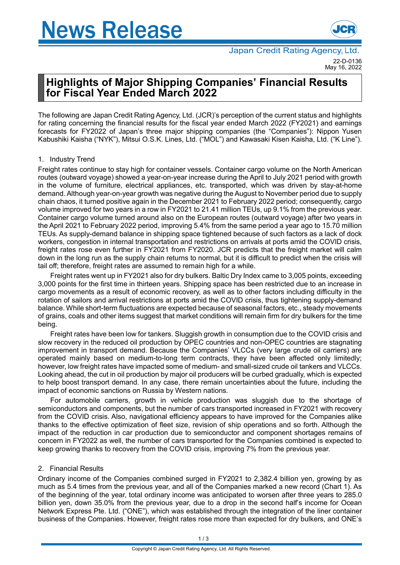

# **Highlights of Major Shipping Companies' Financial Results for Fiscal Year Ended March 2022**

The following are Japan Credit Rating Agency, Ltd. (JCR)'s perception of the current status and highlights for rating concerning the financial results for the fiscal year ended March 2022 (FY2021) and earnings forecasts for FY2022 of Japan's three major shipping companies (the "Companies"): Nippon Yusen Kabushiki Kaisha ("NYK"), Mitsui O.S.K. Lines, Ltd. ("MOL") and Kawasaki Kisen Kaisha, Ltd. ("K Line").

# 1. Industry Trend

Freight rates continue to stay high for container vessels. Container cargo volume on the North American routes (outward voyage) showed a year-on-year increase during the April to July 2021 period with growth in the volume of furniture, electrical appliances, etc. transported, which was driven by stay-at-home demand.Although year-on-year growth was negative during the August to November period due to supply chain chaos, it turned positive again in the December 2021 to February 2022 period; consequently, cargo volume improved for two years in a row in FY2021 to 21.41 million TEUs, up 9.1% from the previous year. Container cargo volume turned around also on the European routes (outward voyage) after two years in the April 2021 to February 2022 period, improving 5.4% from the same period a year ago to 15.70 million TEUs. As supply-demand balance in shipping space tightened because of such factors as a lack of dock workers, congestion in internal transportation and restrictions on arrivals at ports amid the COVID crisis, freight rates rose even further in FY2021 from FY2020. JCR predicts that the freight market will calm down in the long run as the supply chain returns to normal, but it is difficult to predict when the crisis will tail off; therefore, freight rates are assumed to remain high for a while.

Freight rates went up in FY2021 also for dry bulkers. Baltic Dry Index came to 3,005 points, exceeding 3,000 points for the first time in thirteen years. Shipping space has been restricted due to an increase in cargo movements as a result of economic recovery, as well as to other factors including difficulty in the rotation of sailors and arrival restrictions at ports amid the COVID crisis, thus tightening supply-demand balance. While short-term fluctuations are expected because of seasonal factors, etc., steady movements of grains, coals and other items suggest that market conditions will remain firm for dry bulkers for the time being.

Freight rates have been low for tankers. Sluggish growth in consumption due to the COVID crisis and slow recovery in the reduced oil production by OPEC countries and non-OPEC countries are stagnating improvement in transport demand. Because the Companies' VLCCs (very large crude oil carriers) are operated mainly based on medium-to-long term contracts, they have been affected only limitedly; however, low freight rates have impacted some of medium- and small-sized crude oil tankers and VLCCs. Looking ahead, the cut in oil production by major oil producers will be curbed gradually, which is expected to help boost transport demand. In any case, there remain uncertainties about the future, including the impact of economic sanctions on Russia by Western nations.

For automobile carriers, growth in vehicle production was sluggish due to the shortage of semiconductors and components, but the number of cars transported increased in FY2021 with recovery from the COVID crisis. Also, navigational efficiency appears to have improved for the Companies alike thanks to the effective optimization of fleet size, revision of ship operations and so forth. Although the impact of the reduction in car production due to semiconductor and component shortages remains of concern in FY2022 as well, the number of cars transported for the Companies combined is expected to keep growing thanks to recovery from the COVID crisis, improving 7% from the previous year.

# 2. Financial Results

Ordinary income of the Companies combined surged in FY2021 to 2,382.4 billion yen, growing by as much as 5.4 times from the previous year, and all of the Companies marked a new record (Chart 1). As of the beginning of the year, total ordinary income was anticipated to worsen after three years to 285.0 billion yen, down 35.0% from the previous year, due to a drop in the second half's income for Ocean Network Express Pte. Ltd. ("ONE"), which was established through the integration of the liner container business of the Companies. However, freight rates rose more than expected for dry bulkers, and ONE's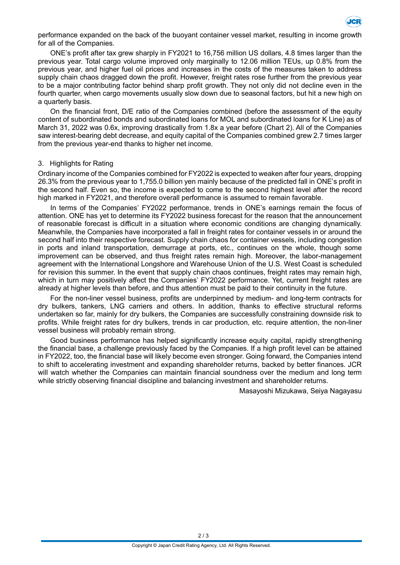

performance expanded on the back of the buoyant container vessel market, resulting in income growth for all of the Companies.

ONE's profit after tax grew sharply in FY2021 to 16,756 million US dollars, 4.8 times larger than the previous year. Total cargo volume improved only marginally to 12.06 million TEUs, up 0.8% from the previous year, and higher fuel oil prices and increases in the costs of the measures taken to address supply chain chaos dragged down the profit. However, freight rates rose further from the previous year to be a major contributing factor behind sharp profit growth. They not only did not decline even in the fourth quarter, when cargo movements usually slow down due to seasonal factors, but hit a new high on a quarterly basis.

On the financial front, D/E ratio of the Companies combined (before the assessment of the equity content of subordinated bonds and subordinated loans for MOL and subordinated loans for K Line) as of March 31, 2022 was 0.6x, improving drastically from 1.8x a year before (Chart 2). All of the Companies saw interest-bearing debt decrease, and equity capital of the Companies combined grew 2.7 times larger from the previous year-end thanks to higher net income.

## 3. Highlights for Rating

Ordinary income of the Companies combined for FY2022 is expected to weaken after four years, dropping 26.3% from the previous year to 1,755.0 billion yen mainly because of the predicted fall in ONE's profit in the second half. Even so, the income is expected to come to the second highest level after the record high marked in FY2021, and therefore overall performance is assumed to remain favorable.

In terms of the Companies' FY2022 performance, trends in ONE's earnings remain the focus of attention. ONE has yet to determine its FY2022 business forecast for the reason that the announcement of reasonable forecast is difficult in a situation where economic conditions are changing dynamically. Meanwhile, the Companies have incorporated a fall in freight rates for container vessels in or around the second half into their respective forecast. Supply chain chaos for container vessels, including congestion in ports and inland transportation, demurrage at ports, etc., continues on the whole, though some improvement can be observed, and thus freight rates remain high. Moreover, the labor-management agreement with the International Longshore and Warehouse Union of the U.S. West Coast is scheduled for revision this summer. In the event that supply chain chaos continues, freight rates may remain high, which in turn may positively affect the Companies' FY2022 performance. Yet, current freight rates are already at higher levels than before, and thus attention must be paid to their continuity in the future.

For the non-liner vessel business, profits are underpinned by medium- and long-term contracts for dry bulkers, tankers, LNG carriers and others. In addition, thanks to effective structural reforms undertaken so far, mainly for dry bulkers, the Companies are successfully constraining downside risk to profits. While freight rates for dry bulkers, trends in car production, etc. require attention, the non-liner vessel business will probably remain strong.

Good business performance has helped significantly increase equity capital, rapidly strengthening the financial base, a challenge previously faced by the Companies. If a high profit level can be attained in FY2022, too, the financial base will likely become even stronger. Going forward, the Companies intend to shift to accelerating investment and expanding shareholder returns, backed by better finances. JCR will watch whether the Companies can maintain financial soundness over the medium and long term while strictly observing financial discipline and balancing investment and shareholder returns.

Masayoshi Mizukawa, Seiya Nagayasu